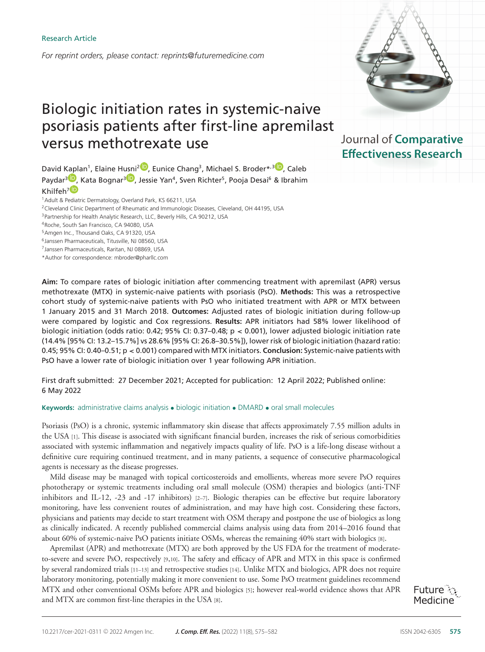*For reprint orders, please contact: reprints@futuremedicine.com*

# Biologic initiation rates in systemic-naive psoriasis patients after first-line apremilast versus methotrexate use

David Kaplan<sup>1</sup>, Elaine Husni<sup>[2](https://orcid.org/0000-0002-3181-4205)</sup><sup>1</sup>[,](https://orcid.org/0000-0002-2049-5536) Eunice Chang<sup>3</sup>, Michael S. Broder<sup>\*,3</sup><sup>1</sup>, Caleb Paydar<sup>3 (D</sup>[,](https://orcid.org/0000-0001-8357-8569) Kata Bognar<sup>3 (D</sup>, Jessie Yan<sup>4</sup>, Sven Richter<sup>5</sup>, Pooja Desai<sup>6</sup> & Ibrahim Khilfeh<sup>7</sup>

1Adult & P[ediat](https://orcid.org/0000-0002-7677-2045)ric Dermatology, Overland Park, KS 66211, USA

2Cleveland Clinic Department of Rheumatic and Immunologic Diseases, Cleveland, OH 44195, USA

<sup>3</sup> Partnership for Health Analytic Research, LLC, Beverly Hills, CA 90212, USA

4Roche, South San Francisco, CA 94080, USA

5Amgen Inc., Thousand Oaks, CA 91320, USA

6Janssen Pharmaceuticals, Titusville, NJ 08560, USA

7Janssen Pharmaceuticals, Raritan, NJ 08869, USA

\*Author for correspondence: mbroder@pharllc.com

**Aim:** To compare rates of biologic initiation after commencing treatment with apremilast (APR) versus methotrexate (MTX) in systemic-naive patients with psoriasis (PsO). **Methods:** This was a retrospective cohort study of systemic-naive patients with PsO who initiated treatment with APR or MTX between 1 January 2015 and 31 March 2018. **Outcomes:** Adjusted rates of biologic initiation during follow-up were compared by logistic and Cox regressions. **Results:** APR initiators had 58% lower likelihood of biologic initiation (odds ratio: 0.42; 95% CI: 0.37–0.48; p **<** 0.001), lower adjusted biologic initiation rate (14.4% [95% CI: 13.2–15.7%] vs 28.6% [95% CI: 26.8–30.5%]), lower risk of biologic initiation (hazard ratio: 0.45; 95% CI: 0.40–0.51; p **<** 0.001) compared with MTX initiators. **Conclusion:** Systemic-naive patients with PsO have a lower rate of biologic initiation over 1 year following APR initiation.

First draft submitted: 27 December 2021; Accepted for publication: 12 April 2022; Published online: 6 May 2022

# **Keywords:** administrative claims analysis • biologic initiation • DMARD • oral small molecules

Psoriasis (PsO) is a chronic, systemic inflammatory skin disease that affects approximately 7.55 million adults in the USA [1]. This disease is associated with significant financial burden, increases the risk of serious comorbidities associated with systemic inflammation and negatively impacts quality of life. PsO is a life-long disease without a definitive cure requiring continued treatment, and in many patients, a sequence of consecutive pharmacological agents is necessary as the disease progresses.

Mild disease may be managed with topical corticosteroids and emollients, whereas more severe PsO requires phototherapy or systemic treatments including oral small molecule (OSM) therapies and biologics (anti-TNF inhibitors and IL-12, -23 and -17 inhibitors) [2–7]. Biologic therapies can be effective but require laboratory monitoring, have less convenient routes of administration, and may have high cost. Considering these factors, physicians and patients may decide to start treatment with OSM therapy and postpone the use of biologics as long as clinically indicated. A recently published commercial claims analysis using data from 2014–2016 found that about 60% of systemic-naive PsO patients initiate OSMs, whereas the remaining 40% start with biologics [8].

Apremilast (APR) and methotrexate (MTX) are both approved by the US FDA for the treatment of moderateto-severe and severe PsO, respectively [9,10]. The safety and efficacy of APR and MTX in this space is confirmed by several randomized trials [11–13] and retrospective studies [14]. Unlike MTX and biologics, APR does not require laboratory monitoring, potentially making it more convenient to use. Some PsO treatment guidelines recommend MTX and other conventional OSMs before APR and biologics [5]; however real-world evidence shows that APR and MTX are common first-line therapies in the USA [8].



Journal of Comparative **Effectiveness Research**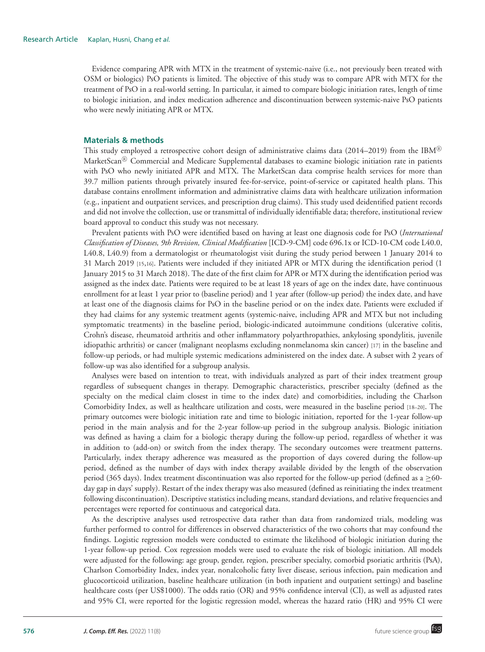Evidence comparing APR with MTX in the treatment of systemic-naive (i.e., not previously been treated with OSM or biologics) PsO patients is limited. The objective of this study was to compare APR with MTX for the treatment of PsO in a real-world setting. In particular, it aimed to compare biologic initiation rates, length of time to biologic initiation, and index medication adherence and discontinuation between systemic-naive PsO patients who were newly initiating APR or MTX.

## **Materials & methods**

This study employed a retrospective cohort design of administrative claims data (2014–2019) from the  $\text{IBM}^{\text{\textregistered}}$ MarketScan® Commercial and Medicare Supplemental databases to examine biologic initiation rate in patients with PsO who newly initiated APR and MTX. The MarketScan data comprise health services for more than 39.7 million patients through privately insured fee-for-service, point-of-service or capitated health plans. This database contains enrollment information and administrative claims data with healthcare utilization information (e.g., inpatient and outpatient services, and prescription drug claims). This study used deidentified patient records and did not involve the collection, use or transmittal of individually identifiable data; therefore, institutional review board approval to conduct this study was not necessary.

Prevalent patients with PsO were identified based on having at least one diagnosis code for PsO (*International Classification of Diseases, 9th Revision, Clinical Modification* [ICD-9-CM] code 696.1x or ICD-10-CM code L40.0, L40.8, L40.9) from a dermatologist or rheumatologist visit during the study period between 1 January 2014 to 31 March 2019 [15,16]. Patients were included if they initiated APR or MTX during the identification period (1 January 2015 to 31 March 2018). The date of the first claim for APR or MTX during the identification period was assigned as the index date. Patients were required to be at least 18 years of age on the index date, have continuous enrollment for at least 1 year prior to (baseline period) and 1 year after (follow-up period) the index date, and have at least one of the diagnosis claims for PsO in the baseline period or on the index date. Patients were excluded if they had claims for any systemic treatment agents (systemic-naive, including APR and MTX but not including symptomatic treatments) in the baseline period, biologic-indicated autoimmune conditions (ulcerative colitis, Crohn's disease, rheumatoid arthritis and other inflammatory polyarthropathies, ankylosing spondylitis, juvenile idiopathic arthritis) or cancer (malignant neoplasms excluding nonmelanoma skin cancer) [17] in the baseline and follow-up periods, or had multiple systemic medications administered on the index date. A subset with 2 years of follow-up was also identified for a subgroup analysis.

Analyses were based on intention to treat, with individuals analyzed as part of their index treatment group regardless of subsequent changes in therapy. Demographic characteristics, prescriber specialty (defined as the specialty on the medical claim closest in time to the index date) and comorbidities, including the Charlson Comorbidity Index, as well as healthcare utilization and costs, were measured in the baseline period [18–20]. The primary outcomes were biologic initiation rate and time to biologic initiation, reported for the 1-year follow-up period in the main analysis and for the 2-year follow-up period in the subgroup analysis. Biologic initiation was defined as having a claim for a biologic therapy during the follow-up period, regardless of whether it was in addition to (add-on) or switch from the index therapy. The secondary outcomes were treatment patterns. Particularly, index therapy adherence was measured as the proportion of days covered during the follow-up period, defined as the number of days with index therapy available divided by the length of the observation period (365 days). Index treatment discontinuation was also reported for the follow-up period (defined as a  $\geq$ 60day gap in days' supply). Restart of the index therapy was also measured (defined as reinitiating the index treatment following discontinuation). Descriptive statistics including means, standard deviations, and relative frequencies and percentages were reported for continuous and categorical data.

As the descriptive analyses used retrospective data rather than data from randomized trials, modeling was further performed to control for differences in observed characteristics of the two cohorts that may confound the findings. Logistic regression models were conducted to estimate the likelihood of biologic initiation during the 1-year follow-up period. Cox regression models were used to evaluate the risk of biologic initiation. All models were adjusted for the following: age group, gender, region, prescriber specialty, comorbid psoriatic arthritis (PsA), Charlson Comorbidity Index, index year, nonalcoholic fatty liver disease, serious infection, pain medication and glucocorticoid utilization, baseline healthcare utilization (in both inpatient and outpatient settings) and baseline healthcare costs (per US\$1000). The odds ratio (OR) and 95% confidence interval (CI), as well as adjusted rates and 95% CI, were reported for the logistic regression model, whereas the hazard ratio (HR) and 95% CI were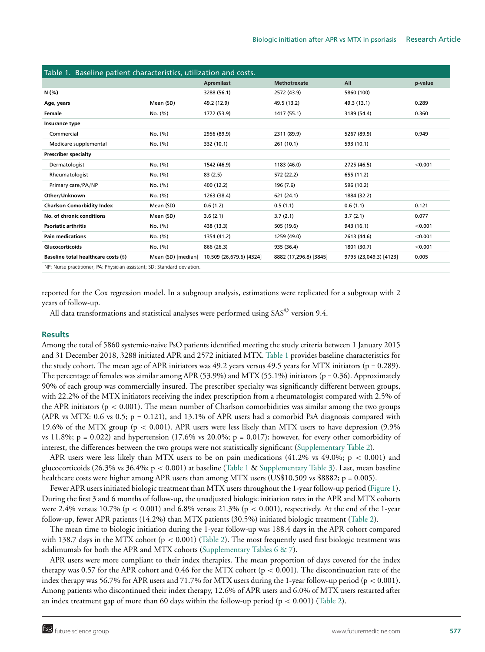| Table 1. Baseline patient characteristics, utilization and costs.        |                    |                          |                        |                        |         |  |  |  |
|--------------------------------------------------------------------------|--------------------|--------------------------|------------------------|------------------------|---------|--|--|--|
|                                                                          |                    | <b>Apremilast</b>        | <b>Methotrexate</b>    | All                    | p-value |  |  |  |
| N (%)                                                                    |                    | 3288 (56.1)              | 2572 (43.9)            | 5860 (100)             |         |  |  |  |
| Age, years                                                               | Mean (SD)          | 49.2 (12.9)              | 49.5 (13.2)            | 49.3 (13.1)            | 0.289   |  |  |  |
| <b>Female</b>                                                            | No. (%)            | 1772 (53.9)              | 1417 (55.1)            | 3189 (54.4)            | 0.360   |  |  |  |
| Insurance type                                                           |                    |                          |                        |                        |         |  |  |  |
| Commercial                                                               | No. (%)            | 2956 (89.9)              | 2311 (89.9)            | 5267 (89.9)            | 0.949   |  |  |  |
| Medicare supplemental                                                    | No. (%)            | 332 (10.1)               | 261 (10.1)             | 593 (10.1)             |         |  |  |  |
| <b>Prescriber specialty</b>                                              |                    |                          |                        |                        |         |  |  |  |
| Dermatologist                                                            | No. (%)            | 1542 (46.9)              | 1183 (46.0)            | 2725 (46.5)            | < 0.001 |  |  |  |
| Rheumatologist                                                           | No. (%)            | 83(2.5)                  | 572 (22.2)             | 655 (11.2)             |         |  |  |  |
| Primary care/PA/NP                                                       | No. (%)            | 400 (12.2)               | 196 (7.6)              | 596 (10.2)             |         |  |  |  |
| Other/Unknown                                                            | No. (%)            | 1263 (38.4)              | 621 (24.1)             | 1884 (32.2)            |         |  |  |  |
| <b>Charlson Comorbidity Index</b>                                        | Mean (SD)          | 0.6(1.2)                 | 0.5(1.1)               | 0.6(1.1)               | 0.121   |  |  |  |
| No. of chronic conditions                                                | Mean (SD)          | 3.6(2.1)                 | 3.7(2.1)               | 3.7(2.1)               | 0.077   |  |  |  |
| <b>Psoriatic arthritis</b>                                               | No. (%)            | 438 (13.3)               | 505 (19.6)             | 943 (16.1)             | < 0.001 |  |  |  |
| <b>Pain medications</b>                                                  | No. (%)            | 1354 (41.2)              | 1259 (49.0)            | 2613 (44.6)            | < 0.001 |  |  |  |
| Glucocorticoids                                                          | No. (%)            | 866 (26.3)               | 935 (36.4)             | 1801 (30.7)            | < 0.001 |  |  |  |
| Baseline total healthcare costs (\$)                                     | Mean (SD) [median] | 10,509 (26,679.6) [4324] | 8882 (17,296.8) [3845] | 9795 (23,049.3) [4123] | 0.005   |  |  |  |
| NP: Nurse practitioner; PA: Physician assistant; SD: Standard deviation. |                    |                          |                        |                        |         |  |  |  |

reported for the Cox regression model. In a subgroup analysis, estimations were replicated for a subgroup with 2 years of follow-up.

All data transformations and statistical analyses were performed using SAS $^\copyright$  version 9.4.

## **Results**

Among the total of 5860 systemic-naive PsO patients identified meeting the study criteria between 1 January 2015 and 31 December 2018, 3288 initiated APR and 2572 initiated MTX. Table 1 provides baseline characteristics for the study cohort. The mean age of APR initiators was 49.2 years versus 49.5 years for MTX initiators (p = 0.289). The percentage of females was similar among APR (53.9%) and MTX (55.1%) initiators ( $p = 0.36$ ). Approximately 90% of each group was commercially insured. The prescriber specialty was significantly different between groups, with 22.2% of the MTX initiators receiving the index prescription from a rheumatologist compared with 2.5% of the APR initiators ( $p < 0.001$ ). The mean number of Charlson comorbidities was similar among the two groups (APR vs MTX: 0.6 vs 0.5;  $p = 0.121$ ), and 13.1% of APR users had a comorbid PsA diagnosis compared with 19.6% of the MTX group (p < 0.001). APR users were less likely than MTX users to have depression (9.9% vs 11.8%;  $p = 0.022$ ) and hypertension (17.6% vs 20.0%;  $p = 0.017$ ); however, for every other comorbidity of interest, the differences between the two groups were not statistically significant (Supplementary Table 2).

APR users were less likely than MTX users to be on pain medications (41.2% vs 49.0%;  $p < 0.001$ ) and glucocorticoids (26.3% vs 36.4%;  $p < 0.001$ ) at baseline (Table 1 & Supplementary Table 3). Last, mean baseline healthcare costs were higher among APR users than among MTX users (US\$10,509 vs \$8882; p = 0.005).

Fewer APR users initiated biologic treatment than MTX users throughout the 1-year follow-up period (Figure 1). During the first 3 and 6 months of follow-up, the unadjusted biologic initiation rates in the APR and MTX cohorts were 2.4% versus 10.7% ( $p < 0.001$ ) and 6.8% versus 21.3% ( $p < 0.001$ ), respectively. At the end of the 1-year follow-up, fewer APR patients (14.2%) than MTX patients (30.5%) initiated biologic treatment (Table 2).

The mean time to biologic initiation during the 1-year follow-up was 188.4 days in the APR cohort compared with 138.7 days in the MTX cohort ( $p < 0.001$ ) (Table 2). The most frequently used first biologic treatment was adalimumab for both the APR and MTX cohorts (Supplementary Tables 6 & 7).

APR users were more compliant to their index therapies. The mean proportion of days covered for the index therapy was 0.57 for the APR cohort and 0.46 for the MTX cohort ( $p < 0.001$ ). The discontinuation rate of the index therapy was 56.7% for APR users and 71.7% for MTX users during the 1-year follow-up period (p < 0.001). Among patients who discontinued their index therapy, 12.6% of APR users and 6.0% of MTX users restarted after an index treatment gap of more than 60 days within the follow-up period ( $p < 0.001$ ) (Table 2).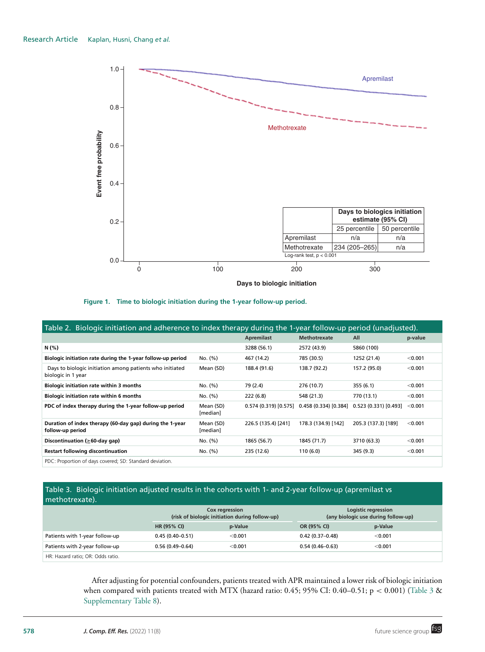

**Figure 1. Time to biologic initiation during the 1-year follow-up period.**

| Table 2. Biologic initiation and adherence to index therapy during the 1-year follow-up period (unadjusted). |                       |                     |                       |                     |         |  |  |  |  |
|--------------------------------------------------------------------------------------------------------------|-----------------------|---------------------|-----------------------|---------------------|---------|--|--|--|--|
|                                                                                                              |                       | <b>Apremilast</b>   | <b>Methotrexate</b>   | All                 | p-value |  |  |  |  |
| N (%)                                                                                                        |                       | 3288 (56.1)         | 2572 (43.9)           | 5860 (100)          |         |  |  |  |  |
| Biologic initiation rate during the 1-year follow-up period                                                  | No. (%)               | 467 (14.2)          | 785 (30.5)            | 1252 (21.4)         | < 0.001 |  |  |  |  |
| Days to biologic initiation among patients who initiated<br>biologic in 1 year                               | Mean (SD)             | 188.4 (91.6)        | 138.7 (92.2)          | 157.2 (95.0)        | < 0.001 |  |  |  |  |
| <b>Biologic initiation rate within 3 months</b>                                                              | No. (%)               | 79 (2.4)            | 276 (10.7)            | 355(6.1)            | < 0.001 |  |  |  |  |
| <b>Biologic initiation rate within 6 months</b>                                                              | No. (%)               | 222 (6.8)           | 548 (21.3)            | 770 (13.1)          | < 0.001 |  |  |  |  |
| PDC of index therapy during the 1-year follow-up period                                                      | Mean (SD)<br>[median] | 0.574(0.319)[0.575] | 0.458 (0.334) [0.384] | 0.523(0.331)[0.493] | < 0.001 |  |  |  |  |
| Duration of index therapy (60-day gap) during the 1-year<br>follow-up period                                 | Mean (SD)<br>[median] | 226.5 (135.4) [241] | 178.3 (134.9) [142]   | 205.3 (137.3) [189] | < 0.001 |  |  |  |  |
| Discontinuation ( $\geq 60$ -day qap)                                                                        | No. (%)               | 1865 (56.7)         | 1845 (71.7)           | 3710 (63.3)         | < 0.001 |  |  |  |  |
| <b>Restart following discontinuation</b>                                                                     | No. (%)               | 235 (12.6)          | 110(6.0)              | 345 (9.3)           | < 0.001 |  |  |  |  |
| PDC: Proportion of days covered: SD: Standard deviation                                                      |                       |                     |                       |                     |         |  |  |  |  |

PDC: Proportion of days covered; SD: Standard deviation.

# Table 3. Biologic initiation adjusted results in the cohorts with 1- and 2-year follow-up (apremilast vs methotrexate).

|                                   |                     | Cox regression<br>(risk of biologic initiation during follow-up) |                     | Logistic regression<br>(any biologic use during follow-up) |  |  |
|-----------------------------------|---------------------|------------------------------------------------------------------|---------------------|------------------------------------------------------------|--|--|
|                                   | HR (95% CI)         | p-Value                                                          | OR (95% CI)         | p-Value                                                    |  |  |
| Patients with 1-year follow-up    | $0.45(0.40 - 0.51)$ | < 0.001                                                          | $0.42(0.37-0.48)$   | < 0.001                                                    |  |  |
| Patients with 2-year follow-up    | $0.56(0.49 - 0.64)$ | < 0.001                                                          | $0.54(0.46 - 0.63)$ | < 0.001                                                    |  |  |
| HR: Hazard ratio; OR: Odds ratio. |                     |                                                                  |                     |                                                            |  |  |

After adjusting for potential confounders, patients treated with APR maintained a lower risk of biologic initiation when compared with patients treated with MTX (hazard ratio: 0.45; 95% CI: 0.40-0.51; p < 0.001) (Table 3 & Supplementary Table 8).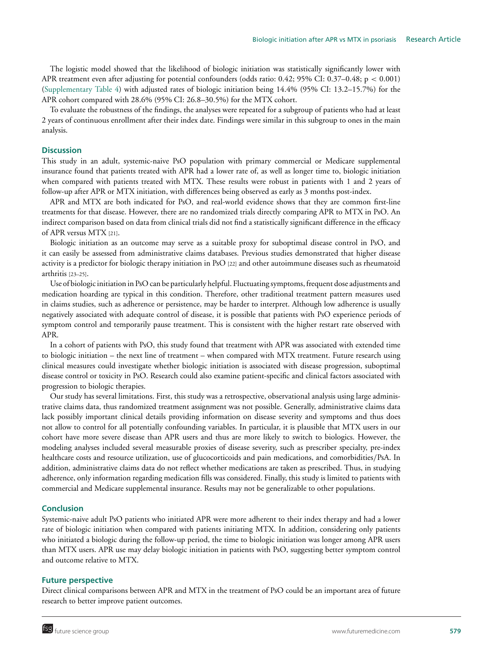The logistic model showed that the likelihood of biologic initiation was statistically significantly lower with APR treatment even after adjusting for potential confounders (odds ratio: 0.42; 95% CI: 0.37–0.48; p < 0.001) (Supplementary Table 4) with adjusted rates of biologic initiation being 14.4% (95% CI: 13.2–15.7%) for the APR cohort compared with 28.6% (95% CI: 26.8–30.5%) for the MTX cohort.

To evaluate the robustness of the findings, the analyses were repeated for a subgroup of patients who had at least 2 years of continuous enrollment after their index date. Findings were similar in this subgroup to ones in the main analysis.

## **Discussion**

This study in an adult, systemic-naive PsO population with primary commercial or Medicare supplemental insurance found that patients treated with APR had a lower rate of, as well as longer time to, biologic initiation when compared with patients treated with MTX. These results were robust in patients with 1 and 2 years of follow-up after APR or MTX initiation, with differences being observed as early as 3 months post-index.

APR and MTX are both indicated for PsO, and real-world evidence shows that they are common first-line treatments for that disease. However, there are no randomized trials directly comparing APR to MTX in PsO. An indirect comparison based on data from clinical trials did not find a statistically significant difference in the efficacy of APR versus MTX [21].

Biologic initiation as an outcome may serve as a suitable proxy for suboptimal disease control in PsO, and it can easily be assessed from administrative claims databases. Previous studies demonstrated that higher disease activity is a predictor for biologic therapy initiation in PsO [22] and other autoimmune diseases such as rheumatoid arthritis [23–25].

Use of biologic initiation in PsO can be particularly helpful. Fluctuating symptoms, frequent dose adjustments and medication hoarding are typical in this condition. Therefore, other traditional treatment pattern measures used in claims studies, such as adherence or persistence, may be harder to interpret. Although low adherence is usually negatively associated with adequate control of disease, it is possible that patients with PsO experience periods of symptom control and temporarily pause treatment. This is consistent with the higher restart rate observed with APR.

In a cohort of patients with PsO, this study found that treatment with APR was associated with extended time to biologic initiation – the next line of treatment – when compared with MTX treatment. Future research using clinical measures could investigate whether biologic initiation is associated with disease progression, suboptimal disease control or toxicity in PsO. Research could also examine patient-specific and clinical factors associated with progression to biologic therapies.

Our study has several limitations. First, this study was a retrospective, observational analysis using large administrative claims data, thus randomized treatment assignment was not possible. Generally, administrative claims data lack possibly important clinical details providing information on disease severity and symptoms and thus does not allow to control for all potentially confounding variables. In particular, it is plausible that MTX users in our cohort have more severe disease than APR users and thus are more likely to switch to biologics. However, the modeling analyses included several measurable proxies of disease severity, such as prescriber specialty, pre-index healthcare costs and resource utilization, use of glucocorticoids and pain medications, and comorbidities/PsA. In addition, administrative claims data do not reflect whether medications are taken as prescribed. Thus, in studying adherence, only information regarding medication fills was considered. Finally, this study is limited to patients with commercial and Medicare supplemental insurance. Results may not be generalizable to other populations.

## **Conclusion**

Systemic-naive adult PsO patients who initiated APR were more adherent to their index therapy and had a lower rate of biologic initiation when compared with patients initiating MTX. In addition, considering only patients who initiated a biologic during the follow-up period, the time to biologic initiation was longer among APR users than MTX users. APR use may delay biologic initiation in patients with PsO, suggesting better symptom control and outcome relative to MTX.

## **Future perspective**

Direct clinical comparisons between APR and MTX in the treatment of PsO could be an important area of future research to better improve patient outcomes.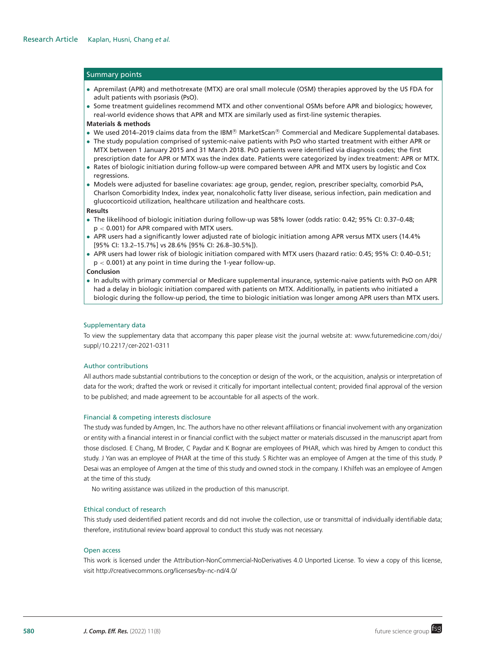#### Summary points

- Apremilast (APR) and methotrexate (MTX) are oral small molecule (OSM) therapies approved by the US FDA for adult patients with psoriasis (PsO).
- Some treatment guidelines recommend MTX and other conventional OSMs before APR and biologics; however, real-world evidence shows that APR and MTX are similarly used as first-line systemic therapies.

#### **Materials & methods**

- We used 2014–2019 claims data from the IBM® MarketScan® Commercial and Medicare Supplemental databases.
- The study population comprised of systemic-naive patients with PsO who started treatment with either APR or MTX between 1 January 2015 and 31 March 2018. PsO patients were identified via diagnosis codes; the first prescription date for APR or MTX was the index date. Patients were categorized by index treatment: APR or MTX.
- Rates of biologic initiation during follow-up were compared between APR and MTX users by logistic and Cox regressions.
- Models were adjusted for baseline covariates: age group, gender, region, prescriber specialty, comorbid PsA, Charlson Comorbidity Index, index year, nonalcoholic fatty liver disease, serious infection, pain medication and glucocorticoid utilization, healthcare utilization and healthcare costs.

#### **Results**

- The likelihood of biologic initiation during follow-up was 58% lower (odds ratio: 0.42; 95% CI: 0.37–0.48; p < 0.001) for APR compared with MTX users.
- APR users had a significantly lower adjusted rate of biologic initiation among APR versus MTX users (14.4% [95% CI: 13.2–15.7%] vs 28.6% [95% CI: 26.8–30.5%]).
- APR users had lower risk of biologic initiation compared with MTX users (hazard ratio: 0.45; 95% CI: 0.40–0.51;  $p < 0.001$ ) at any point in time during the 1-year follow-up.

#### **Conclusion**

• In adults with primary commercial or Medicare supplemental insurance, systemic-naive patients with PsO on APR had a delay in biologic initiation compared with patients on MTX. Additionally, in patients who initiated a biologic during the follow-up period, the time to biologic initiation was longer among APR users than MTX users.

#### Supplementary data

[To view the supplementary data that accompany this paper please visit the journal website at: www.futuremedicine.com](https://www.futuremedicine.com/doi/suppl/10.2217/cer-2021-0311)/doi/ suppl/10.2217/cer-2021-0311

### Author contributions

All authors made substantial contributions to the conception or design of the work, or the acquisition, analysis or interpretation of data for the work; drafted the work or revised it critically for important intellectual content; provided final approval of the version to be published; and made agreement to be accountable for all aspects of the work.

#### Financial & competing interests disclosure

The study was funded by Amgen, Inc. The authors have no other relevant affiliations or financial involvement with any organization or entity with a financial interest in or financial conflict with the subject matter or materials discussed in the manuscript apart from those disclosed. E Chang, M Broder, C Paydar and K Bognar are employees of PHAR, which was hired by Amgen to conduct this study. J Yan was an employee of PHAR at the time of this study. S Richter was an employee of Amgen at the time of this study. P Desai was an employee of Amgen at the time of this study and owned stock in the company. I Khilfeh was an employee of Amgen at the time of this study.

No writing assistance was utilized in the production of this manuscript.

#### Ethical conduct of research

This study used deidentified patient records and did not involve the collection, use or transmittal of individually identifiable data; therefore, institutional review board approval to conduct this study was not necessary.

#### Open access

This work is licensed under the Attribution-NonCommercial-NoDerivatives 4.0 Unported License. To view a copy of this license, visit<http://creativecommons.org/licenses/by-nc-nd/4.0/>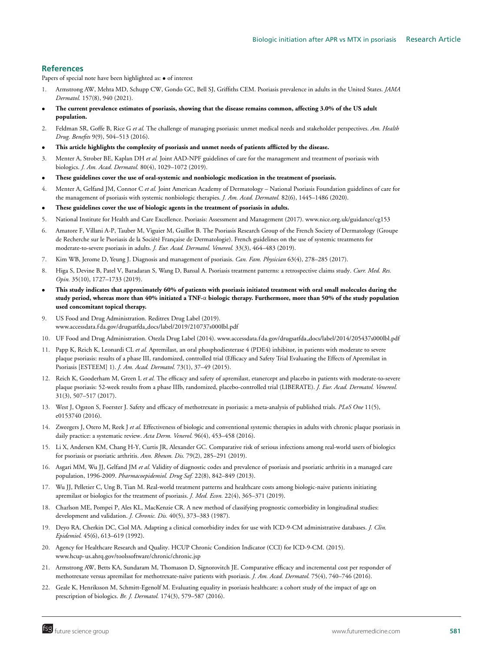## **References**

Papers of special note have been highlighted as: • of interest

- 1. Armstrong AW, Mehta MD, Schupp CW, Gondo GC, Bell SJ, Griffiths CEM. Psoriasis prevalence in adults in the United States. *JAMA Dermatol.* 157(8), 940 (2021).
- **The current prevalence estimates of psoriasis, showing that the disease remains common, affecting 3.0% of the US adult population.**
- 2. Feldman SR, Goffe B, Rice G *et al.* The challenge of managing psoriasis: unmet medical needs and stakeholder perspectives. *Am. Health Drug. Benefits* 9(9), 504–513 (2016).
- **This article highlights the complexity of psoriasis and unmet needs of patients afflicted by the disease.**
- 3. Menter A, Strober BE, Kaplan DH *et al.* Joint AAD-NPF guidelines of care for the management and treatment of psoriasis with biologics. *J. Am. Acad. Dermatol.* 80(4), 1029–1072 (2019).
- **These guidelines cover the use of oral-systemic and nonbiologic medication in the treatment of psoriasis.**
- 4. Menter A, Gelfand JM, Connor C *et al.* Joint American Academy of Dermatology National Psoriasis Foundation guidelines of care for the management of psoriasis with systemic nonbiologic therapies. *J. Am. Acad. Dermatol.* 82(6), 1445–1486 (2020).
- **These guidelines cover the use of biologic agents in the treatment of psoriasis in adults.**
- 5. National Institute for Health and Care Excellence. Psoriasis: Assessment and Management (2017). [www.nice.org.uk/guidance/cg153](http://www.nice.org.uk/guidance/cg153)
- 6. Amatore F, Villani A-P, Tauber M, Viguier M, Guillot B. The Psoriasis Research Group of the French Society of Dermatology (Groupe de Recherche sur le Psoriasis de la Société Française de Dermatologie). French guidelines on the use of systemic treatments for moderate-to-severe psoriasis in adults. *J. Eur. Acad. Dermatol. Venereol.* 33(3), 464–483 (2019).
- 7. Kim WB, Jerome D, Yeung J. Diagnosis and management of psoriasis. *Can. Fam. Physician* 63(4), 278–285 (2017).
- 8. Higa S, Devine B, Patel V, Baradaran S, Wang D, Bansal A. Psoriasis treatment patterns: a retrospective claims study. *Curr. Med. Res. Opin.* 35(10), 1727–1733 (2019).
- **This study indicates that approximately 60% of patients with psoriasis initiated treatment with oral small molecules during the study period, whereas more than 40% initiated a TNF-**α **biologic therapy. Furthermore, more than 50% of the study population used concomitant topical therapy.**
- 9. US Food and Drug Administration. Reditrex Drug Label (2019). www.accessdata.f da.gov/drugsatfda [docs/label/2019/210737s000lbl.pdf](https://www.accessdata.fda.gov/drugsatfda_docs/label/2019/210737s000lbl.pdf)
- 10. UF Food and Drug Administration. Otezla Drug Label (2014). www.accessdata.f da.gov/drugsatfda [docs/label/2014/205437s000lbl.pdf](https://www.accessdata.fda.gov/drugsatfda_docs/label/2014/205437s000lbl.pdf)
- 11. Papp K, Reich K, Leonardi CL *et al.* Apremilast, an oral phosphodiesterase 4 (PDE4) inhibitor, in patients with moderate to severe plaque psoriasis: results of a phase III, randomized, controlled trial (Efficacy and Safety Trial Evaluating the Effects of Apremilast in Psoriasis [ESTEEM] 1). *J. Am. Acad. Dermatol.* 73(1), 37–49 (2015).
- 12. Reich K, Gooderham M, Green L *et al.* The efficacy and safety of apremilast, etanercept and placebo in patients with moderate-to-severe plaque psoriasis: 52-week results from a phase IIIb, randomized, placebo-controlled trial (LIBERATE). *J. Eur. Acad. Dermatol. Venereol.* 31(3), 507–517 (2017).
- 13. West J, Ogston S, Foerster J. Safety and efficacy of methotrexate in psoriasis: a meta-analysis of published trials. *PLoS One* 11(5), e0153740 (2016).
- 14. Zweegers J, Otero M, Reek J *et al.* Effectiveness of biologic and conventional systemic therapies in adults with chronic plaque psoriasis in daily practice: a systematic review. *Acta Derm. Venerol.* 96(4), 453–458 (2016).
- 15. Li X, Andersen KM, Chang H-Y, Curtis JR, Alexander GC. Comparative risk of serious infections among real-world users of biologics for psoriasis or psoriatic arthritis. *Ann. Rheum. Dis.* 79(2), 285–291 (2019).
- 16. Asgari MM, Wu JJ, Gelfand JM *et al.* Validity of diagnostic codes and prevalence of psoriasis and psoriatic arthritis in a managed care population, 1996-2009. *Pharmacoepidemiol. Drug Saf.* 22(8), 842–849 (2013).
- 17. Wu JJ, Pelletier C, Ung B, Tian M. Real-world treatment patterns and healthcare costs among biologic-naive patients initiating apremilast or biologics for the treatment of psoriasis. *J. Med. Econ.* 22(4), 365–371 (2019).
- 18. Charlson ME, Pompei P, Ales KL, MacKenzie CR. A new method of classifying prognostic comorbidity in longitudinal studies: development and validation. *J. Chronic. Dis.* 40(5), 373–383 (1987).
- 19. Deyo RA, Cherkin DC, Ciol MA. Adapting a clinical comorbidity index for use with ICD-9-CM administrative databases. *J. Clin. Epidemiol.* 45(6), 613–619 (1992).
- 20. Agency for Healthcare Research and Quality. HCUP Chronic Condition Indicator (CCI) for ICD-9-CM. (2015). [www.hcup-us.ahrq.gov/toolssoftware/chronic/chronic.jsp](http://www.hcup-us.ahrq.gov/toolssoftware/chronic/chronic.jsp)
- 21. Armstrong AW, Betts KA, Sundaram M, Thomason D, Signorovitch JE. Comparative efficacy and incremental cost per responder of methotrexate versus apremilast for methotrexate-naïve patients with psoriasis. *J. Am. Acad. Dermatol.* 75(4), 740-746 (2016).
- 22. Geale K, Henriksson M, Schmitt-Egenolf M. Evaluating equality in psoriasis healthcare: a cohort study of the impact of age on prescription of biologics. *Br. J. Dermatol.* 174(3), 579–587 (2016).